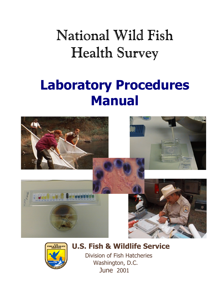# National Wild Fish Health Survey

## **Laboratory Procedures Manual**





**U.S. Fish & Wildlife Service**

 Division of Fish Hatcheries Washington, D.C. June 2001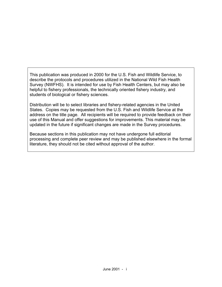This publication was produced in 2000 for the U.S. Fish and Wildlife Service, to describe the protocols and procedures utilized in the National Wild Fish Health Survey (NWFHS). It is intended for use by Fish Health Centers, but may also be helpful to fishery professionals, the technically oriented fishery industry, and students of biological or fishery sciences.

Distribution will be to select libraries and fishery-related agencies in the United States. Copies may be requested from the U.S. Fish and Wildlife Service at the address on the title page. All recipients will be required to provide feedback on their use of this Manual and offer suggestions for improvements. This material may be updated in the future if significant changes are made in the Survey procedures.

Because sections in this publication may not have undergone full editorial processing and complete peer review and may be published elsewhere in the formal literature, they should not be cited without approval of the author.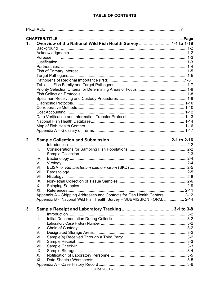|    | <b>PREFACE</b>                                                                                                                                                                                                                |  |
|----|-------------------------------------------------------------------------------------------------------------------------------------------------------------------------------------------------------------------------------|--|
|    |                                                                                                                                                                                                                               |  |
| 1. | Overview of the National Wild Fish Health Survey  1-1 to 1-19                                                                                                                                                                 |  |
|    |                                                                                                                                                                                                                               |  |
|    |                                                                                                                                                                                                                               |  |
|    | Purpose material contracts and the contracts of the contracts of the contracts of the contracts of the contracts of the contracts of the contracts of the contracts of the contracts of the contracts of the contracts of the |  |
|    |                                                                                                                                                                                                                               |  |
|    |                                                                                                                                                                                                                               |  |
|    |                                                                                                                                                                                                                               |  |
|    |                                                                                                                                                                                                                               |  |
|    |                                                                                                                                                                                                                               |  |
|    |                                                                                                                                                                                                                               |  |
|    |                                                                                                                                                                                                                               |  |
|    |                                                                                                                                                                                                                               |  |
|    |                                                                                                                                                                                                                               |  |
|    |                                                                                                                                                                                                                               |  |
|    |                                                                                                                                                                                                                               |  |
|    |                                                                                                                                                                                                                               |  |
|    |                                                                                                                                                                                                                               |  |
|    |                                                                                                                                                                                                                               |  |
|    |                                                                                                                                                                                                                               |  |
|    |                                                                                                                                                                                                                               |  |
|    |                                                                                                                                                                                                                               |  |
| 2. |                                                                                                                                                                                                                               |  |
|    | L.                                                                                                                                                                                                                            |  |
|    | II.                                                                                                                                                                                                                           |  |
|    | III.                                                                                                                                                                                                                          |  |
|    | IV.                                                                                                                                                                                                                           |  |
|    | V.                                                                                                                                                                                                                            |  |
|    | VI.                                                                                                                                                                                                                           |  |
|    | VII.                                                                                                                                                                                                                          |  |
|    | VIII.                                                                                                                                                                                                                         |  |
|    | IX.                                                                                                                                                                                                                           |  |
|    | Χ.                                                                                                                                                                                                                            |  |
|    | XI.                                                                                                                                                                                                                           |  |
|    | Appendix A – Shipping Addresses and Contacts for Fish Health Centers  2-12                                                                                                                                                    |  |
|    | Appendix B - National Wild Fish Health Survey - SUBMISSION FORM.  2-14                                                                                                                                                        |  |
| 3. |                                                                                                                                                                                                                               |  |
|    | L.                                                                                                                                                                                                                            |  |
|    | II.                                                                                                                                                                                                                           |  |
|    |                                                                                                                                                                                                                               |  |
|    | III.                                                                                                                                                                                                                          |  |
|    | IV.                                                                                                                                                                                                                           |  |
|    | V.                                                                                                                                                                                                                            |  |
|    | VI.                                                                                                                                                                                                                           |  |
|    | VII.                                                                                                                                                                                                                          |  |
|    | VIII.                                                                                                                                                                                                                         |  |
|    | IX.                                                                                                                                                                                                                           |  |
|    | X.                                                                                                                                                                                                                            |  |
|    | XI.                                                                                                                                                                                                                           |  |
|    |                                                                                                                                                                                                                               |  |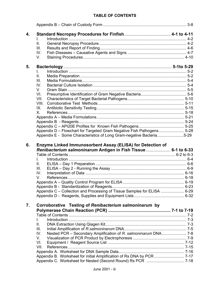| 4. | $\mathbf{L}$                                                                                                                 |  |
|----|------------------------------------------------------------------------------------------------------------------------------|--|
|    | ΙΙ.                                                                                                                          |  |
|    | Ш.                                                                                                                           |  |
|    | IV.                                                                                                                          |  |
|    | V.                                                                                                                           |  |
|    |                                                                                                                              |  |
| 5. |                                                                                                                              |  |
|    | L.                                                                                                                           |  |
|    | II.                                                                                                                          |  |
|    | III.                                                                                                                         |  |
|    | IV.                                                                                                                          |  |
|    | V.                                                                                                                           |  |
|    | VI.                                                                                                                          |  |
|    | VII.                                                                                                                         |  |
|    | VIII.                                                                                                                        |  |
|    | IX.                                                                                                                          |  |
|    | X.                                                                                                                           |  |
|    |                                                                                                                              |  |
|    |                                                                                                                              |  |
|    |                                                                                                                              |  |
|    | Appendix D - Flowchart for Targeted Gram Negative Fish Pathogens5-28                                                         |  |
|    | Appendix E - Some Characteristics of Long Gram-negative Bacteria5-29                                                         |  |
| 6. | Enzyme Linked Immunosorbent Assay (ELISA) for Detection of<br>Renibacterium salmoninarum Antigen in Fish Tissue  6-1 to 6-33 |  |
|    |                                                                                                                              |  |
|    | L.                                                                                                                           |  |
|    | Ш.                                                                                                                           |  |
|    | Ш.                                                                                                                           |  |
|    | IV.                                                                                                                          |  |
|    | V.                                                                                                                           |  |
|    |                                                                                                                              |  |
|    |                                                                                                                              |  |
|    | Appendix C - Collection and Processing of Tissue Samples for ELISA  6-29                                                     |  |
|    |                                                                                                                              |  |
| 7. | Corroborative Testing of Renibacterium salmoninarum by                                                                       |  |
|    |                                                                                                                              |  |
|    |                                                                                                                              |  |
|    | I.                                                                                                                           |  |
|    | ΙΙ.                                                                                                                          |  |
|    | Ш.                                                                                                                           |  |
|    | Nested PCR - Secondary Amplification of R. salmoninarum DNA 7-8<br>IV.                                                       |  |
|    | V.                                                                                                                           |  |
|    | VI.                                                                                                                          |  |
|    | VII.                                                                                                                         |  |
|    |                                                                                                                              |  |
|    |                                                                                                                              |  |
|    |                                                                                                                              |  |
|    |                                                                                                                              |  |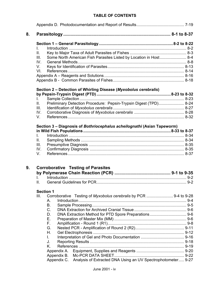| L                     |                                                                         |  |  |
|-----------------------|-------------------------------------------------------------------------|--|--|
| Ⅱ.                    |                                                                         |  |  |
| III.                  | Some North American Fish Parasites Listed by Location in Host 8-4       |  |  |
| IV.                   |                                                                         |  |  |
| V.                    |                                                                         |  |  |
| VI.                   |                                                                         |  |  |
|                       |                                                                         |  |  |
|                       |                                                                         |  |  |
|                       | Section 2 - Detection of Whirling Disease (Myxobolus cerebralis)        |  |  |
|                       |                                                                         |  |  |
| L.                    |                                                                         |  |  |
| II.                   | Preliminary Detection Procedure: Pepsin-Trypsin Digest (TPD) 8-24       |  |  |
| III.                  |                                                                         |  |  |
| IV.                   |                                                                         |  |  |
| V.                    |                                                                         |  |  |
|                       | Section 3 - Diagnosis of Bothriocephalus acheilognathi (Asian Tapeworm) |  |  |
|                       |                                                                         |  |  |
| I.                    |                                                                         |  |  |
| II.                   |                                                                         |  |  |
| III.                  |                                                                         |  |  |
|                       |                                                                         |  |  |
|                       |                                                                         |  |  |
| IV.<br>V.             |                                                                         |  |  |
|                       |                                                                         |  |  |
|                       | <b>Corroborative Testing of Parasites</b>                               |  |  |
|                       |                                                                         |  |  |
|                       |                                                                         |  |  |
| $\mathbf{L}$<br>II. – | <b>Section 1</b>                                                        |  |  |
|                       |                                                                         |  |  |
|                       | А.                                                                      |  |  |
|                       | Β.                                                                      |  |  |
|                       | C.                                                                      |  |  |
|                       | D.                                                                      |  |  |
|                       | Ε.                                                                      |  |  |
|                       | F.                                                                      |  |  |
|                       | G.                                                                      |  |  |
|                       | Η.                                                                      |  |  |
|                       | L.                                                                      |  |  |
|                       | J.                                                                      |  |  |
|                       | Κ.                                                                      |  |  |
| III.                  |                                                                         |  |  |
|                       | Appendix A.<br>Appendix B.                                              |  |  |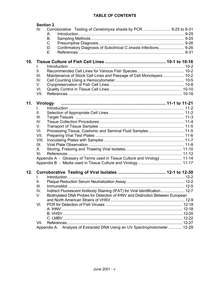|                 |                 | <b>Section 2</b>                                                               |  |
|-----------------|-----------------|--------------------------------------------------------------------------------|--|
|                 | IV.             | Corroborative Testing of Ceratomyxa shasta by PCR  9-25 to 9-31                |  |
|                 |                 | А.                                                                             |  |
|                 |                 | Β.                                                                             |  |
|                 |                 | C.                                                                             |  |
|                 |                 | Confirmatory Diagnosis of Subclinical C.shasta Infections 9-26<br>D.           |  |
|                 |                 | Е                                                                              |  |
| 10 <sub>1</sub> | L.              |                                                                                |  |
|                 | II.             |                                                                                |  |
|                 | III.            | Maintenance of Stock Cell Lines and Passage of Cell Monolayers 10-2            |  |
|                 | IV.             |                                                                                |  |
|                 | V.              |                                                                                |  |
|                 | VI.             |                                                                                |  |
|                 | VII.            |                                                                                |  |
|                 |                 |                                                                                |  |
| 11.             | <b>Virology</b> |                                                                                |  |
|                 | L.              |                                                                                |  |
|                 | II.             |                                                                                |  |
|                 | III.            |                                                                                |  |
|                 | IV.             |                                                                                |  |
|                 | V.              |                                                                                |  |
|                 | VI.             | Processing Tissue, Coelomic and Seminal Fluid Samples 11-5                     |  |
|                 | VII.            |                                                                                |  |
|                 | VIII.           |                                                                                |  |
|                 | IX.             |                                                                                |  |
|                 | X.              |                                                                                |  |
|                 | XL              |                                                                                |  |
|                 |                 | Appendix A - Glossary of Terms used in Tissue Culture and Virology 11-14       |  |
|                 |                 |                                                                                |  |
| 12.             |                 |                                                                                |  |
|                 | L               |                                                                                |  |
|                 | Ш.              |                                                                                |  |
|                 | III.            |                                                                                |  |
|                 | IV.             | Indirect Fluorescent Antibody Staining (IFAT) for Viral Identification 12-7    |  |
|                 | V.              | Biotinylated DNA Probes for Detection of IHNV and Distinction Between European |  |
|                 |                 |                                                                                |  |
|                 | VI.             |                                                                                |  |
|                 |                 |                                                                                |  |
|                 |                 |                                                                                |  |
|                 |                 |                                                                                |  |
|                 |                 |                                                                                |  |
|                 | VII.            |                                                                                |  |
|                 |                 | Analysis of Extracted DNA Using an UV Spectrophotometer  12-29<br>Appendix A.  |  |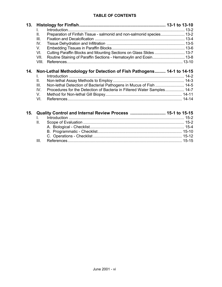| 13. | L.<br>Preparation of Finfish Tissue - salmonid and non-salmonid species 13-2<br>Ш.<br>III.<br>IV.<br>V.<br>VI.<br>Routine Staining of Paraffin Sections - Hematoxylin and Eosin 13-8<br>VII.<br>VIII. |  |
|-----|-------------------------------------------------------------------------------------------------------------------------------------------------------------------------------------------------------|--|
| 14. | Non-Lethal Methodology for Detection of Fish Pathogens 14-1 to 14-15<br>L<br>II.<br>III.<br>Procedures for the Detection of Bacteria in Filtered Water Samples 14-7<br>IV.<br>V.<br>VI.               |  |
| 15. | Quality Control and Internal Review Process  15-1 to 15-15                                                                                                                                            |  |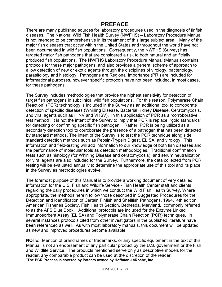### **PREFACE**

There are many published sources for laboratory procedures used in the diagnosis of finfish diseases. The National Wild Fish Health Survey (NWFHS) – Laboratory Procedure Manual is not intended to be comprehensive in its treatment of this large subject area. Many of the major fish diseases that occur within the United States and throughout the world have not been documented in wild fish populations. Consequently, the NWFHS (Survey) has targeted major fish pathogens that are considered a risk to both natural and artificially produced fish populations. The NWFHS Laboratory Procedure Manual (Manual) contains protocols for these major pathogens, and also provides a general scheme of approach to allow detection of new or exotic agents through the disciplines of virology, bacteriology, parasitology and histology. Pathogens are Regional Importance (PRI) are included for informational purposes, however specific protocols have not been included, in most cases, for these pathogens.

The Survey includes methodologies that provide the highest sensitivity for detection of target fish pathogens in subclinical wild fish populations. For this reason, Polymerase Chain Reaction**<sup>1</sup>** (PCR) technology is included in the Survey as an additional tool to corroborate detection of specific diseases (Whirling Disease, Bacterial Kidney Disease, Ceratomyxosis, and viral agents such as IHNV and VHSV). In this application of PCR as a "corroborative test method", it is not the intent of the Survey to imply that PCR is replace "gold standards" for detecting or confirming specific fish pathogen. Rather, PCR is being utilized as a secondary detection tool to corroborate the presence of a pathogen that has been detected by standard methods. The intent of the Survey is to test the PCR technique along side standard detection methods such as Pepsin-Trypsin Digest, ELISA, and virology. This information and field-testing will add information to our knowledge of both fish diseases and the performance of molecular tools as detection methodologies. Traditional confirmation tests such as histology (for Whirling Disease and ceratomyxosis), and serum neutralization for viral agents are also included for the Survey. Furthermore, the data collected from PCR testing will be evaluated annually to determine the appropriate use of this tool and its place in the Survey as methodologies evolve.

The foremost purpose of this Manual is to provide a working document of very detailed information for the U.S. Fish and Wildlife Service - Fish Health Center staff and clients regarding the daily procedures in which we conduct the Wild Fish Health Survey. Where appropriate, the methods herein follow those described in Suggested Procedures for the Detection and Identification of Certain Finfish and Shellfish Pathogens, 1994, 4th edition. American Fisheries Society, Fish Health Section, Bethesda, Maryland, commonly referred to as the AFS Blue Book. Additional protocols are included for the Enzyme Linked Immunosorbent Assay (ELISA) and Polymerase Chain Reaction (PCR) techniques. In several instances protocols cited from other investigators in the published literature have been referenced as well. As with most laboratory manuals, this document will be updated as new and improved procedures become available.

**NOTE:** Mention of brandnames or trademarks, or any specific equipment in the text of this Manual is not an endorsement of any particular product by the U.S. government or the Fish and Wildlife Service. The products mentioned serve only as descriptive models for the reader, any comparable product can be used at the discretion of the reader. **1 The PCR Process is covered by Patents owned by Hoffman-LaRoche, Inc.**